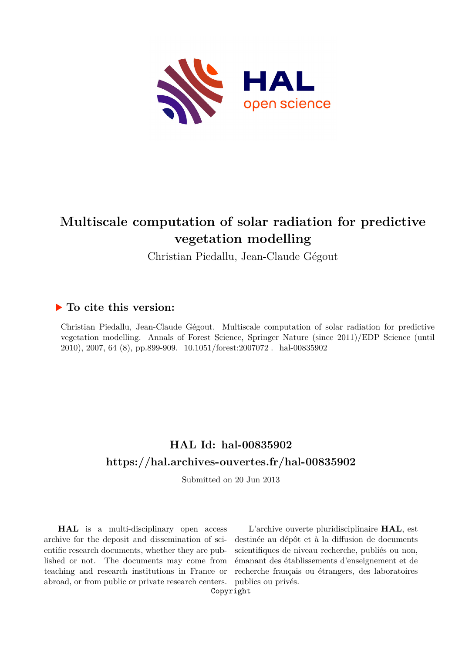

# **Multiscale computation of solar radiation for predictive vegetation modelling**

Christian Piedallu, Jean-Claude Gégout

# **To cite this version:**

Christian Piedallu, Jean-Claude Gégout. Multiscale computation of solar radiation for predictive vegetation modelling. Annals of Forest Science, Springer Nature (since 2011)/EDP Science (until 2010), 2007, 64 (8), pp.899-909. 10.1051/forest:2007072. hal-00835902

# **HAL Id: hal-00835902 <https://hal.archives-ouvertes.fr/hal-00835902>**

Submitted on 20 Jun 2013

**HAL** is a multi-disciplinary open access archive for the deposit and dissemination of scientific research documents, whether they are published or not. The documents may come from teaching and research institutions in France or abroad, or from public or private research centers.

L'archive ouverte pluridisciplinaire **HAL**, est destinée au dépôt et à la diffusion de documents scientifiques de niveau recherche, publiés ou non, émanant des établissements d'enseignement et de recherche français ou étrangers, des laboratoires publics ou privés.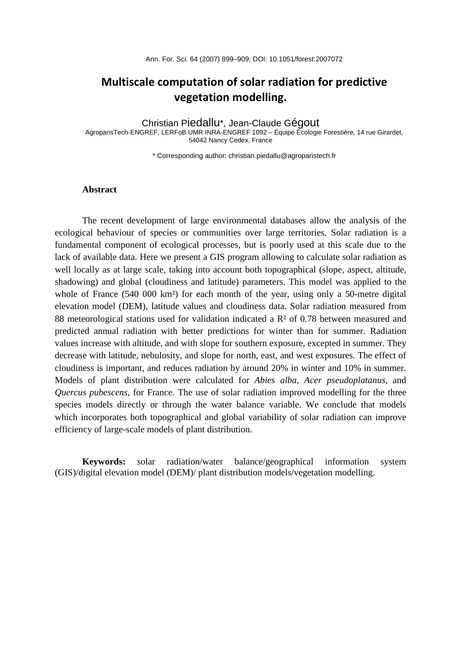# **Multiscale computation of solar radiation for predictive vegetation modelling.**

Christian Piedallu\*, Jean-Claude Gégout AgroparisTech-ENGREF, LERFoB UMR INRA-ENGREF 1092 – Équipe Écologie Forestière, 14 rue Girardet, 54042 Nancy Cedex, France

\* Corresponding author: christian.piedallu@agroparistech.fr

#### **Abstract**

The recent development of large environmental databases allow the analysis of the ecological behaviour of species or communities over large territories. Solar radiation is a fundamental component of ecological processes, but is poorly used at this scale due to the lack of available data. Here we present a GIS program allowing to calculate solar radiation as well locally as at large scale, taking into account both topographical (slope, aspect, altitude, shadowing) and global (cloudiness and latitude) parameters. This model was applied to the whole of France (540 000 km<sup>2</sup>) for each month of the year, using only a 50-metre digital elevation model (DEM), latitude values and cloudiness data. Solar radiation measured from 88 meteorological stations used for validation indicated a R² of 0.78 between measured and predicted annual radiation with better predictions for winter than for summer. Radiation values increase with altitude, and with slope for southern exposure, excepted in summer. They decrease with latitude, nebulosity, and slope for north, east, and west exposures. The effect of cloudiness is important, and reduces radiation by around 20% in winter and 10% in summer. Models of plant distribution were calculated for *Abies alba*, *Acer pseudoplatanus*, and *Quercus pubescens*, for France. The use of solar radiation improved modelling for the three species models directly or through the water balance variable. We conclude that models which incorporates both topographical and global variability of solar radiation can improve efficiency of large-scale models of plant distribution.

**Keywords:** solar radiation/water balance/geographical information system (GIS)/digital elevation model (DEM)/ plant distribution models/vegetation modelling.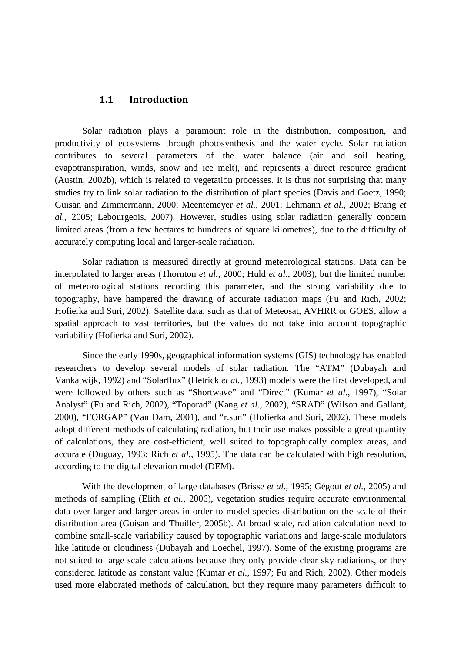#### **-Introduction**

Solar radiation plays a paramount role in the distribution, composition, and productivity of ecosystems through photosynthesis and the water cycle. Solar radiation contributes to several parameters of the water balance (air and soil heating, evapotranspiration, winds, snow and ice melt), and represents a direct resource gradient (Austin, 2002b), which is related to vegetation processes. It is thus not surprising that many studies try to link solar radiation to the distribution of plant species (Davis and Goetz, 1990; Guisan and Zimmermann, 2000; Meentemeyer *et al.*, 2001; Lehmann *et al.*, 2002; Brang *et al.*, 2005; Lebourgeois, 2007). However, studies using solar radiation generally concern limited areas (from a few hectares to hundreds of square kilometres), due to the difficulty of accurately computing local and larger-scale radiation.

Solar radiation is measured directly at ground meteorological stations. Data can be interpolated to larger areas (Thornton *et al.*, 2000; Huld *et al.*, 2003), but the limited number of meteorological stations recording this parameter, and the strong variability due to topography, have hampered the drawing of accurate radiation maps (Fu and Rich, 2002; Hofierka and Suri, 2002). Satellite data, such as that of Meteosat, AVHRR or GOES, allow a spatial approach to vast territories, but the values do not take into account topographic variability (Hofierka and Suri, 2002).

Since the early 1990s, geographical information systems (GIS) technology has enabled researchers to develop several models of solar radiation. The "ATM" (Dubayah and Vankatwijk, 1992) and "Solarflux" (Hetrick *et al.*, 1993) models were the first developed, and were followed by others such as "Shortwave" and "Direct" (Kumar *et al.*, 1997), "Solar Analyst" (Fu and Rich, 2002), "Toporad" (Kang *et al.*, 2002), "SRAD" (Wilson and Gallant, 2000), "FORGAP" (Van Dam, 2001), and "r.sun" (Hofierka and Suri, 2002). These models adopt different methods of calculating radiation, but their use makes possible a great quantity of calculations, they are cost-efficient, well suited to topographically complex areas, and accurate (Duguay, 1993; Rich *et al.*, 1995). The data can be calculated with high resolution, according to the digital elevation model (DEM).

With the development of large databases (Brisse *et al.*, 1995; Gégout *et al.*, 2005) and methods of sampling (Elith *et al.*, 2006), vegetation studies require accurate environmental data over larger and larger areas in order to model species distribution on the scale of their distribution area (Guisan and Thuiller, 2005b). At broad scale, radiation calculation need to combine small-scale variability caused by topographic variations and large-scale modulators like latitude or cloudiness (Dubayah and Loechel, 1997). Some of the existing programs are not suited to large scale calculations because they only provide clear sky radiations, or they considered latitude as constant value (Kumar *et al.*, 1997; Fu and Rich, 2002). Other models used more elaborated methods of calculation, but they require many parameters difficult to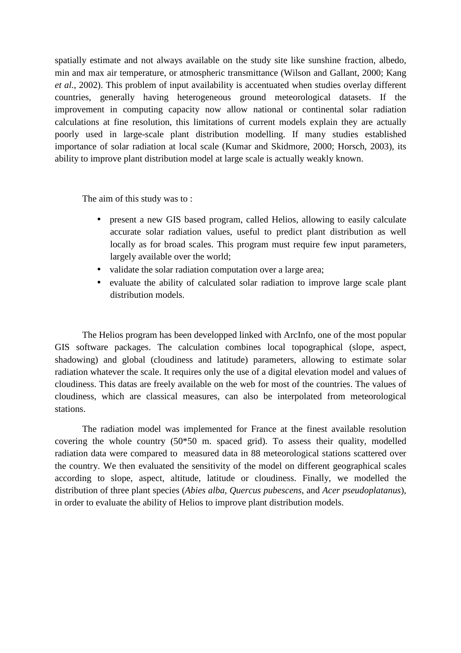spatially estimate and not always available on the study site like sunshine fraction, albedo, min and max air temperature, or atmospheric transmittance (Wilson and Gallant, 2000; Kang *et al.*, 2002). This problem of input availability is accentuated when studies overlay different countries, generally having heterogeneous ground meteorological datasets. If the improvement in computing capacity now allow national or continental solar radiation calculations at fine resolution, this limitations of current models explain they are actually poorly used in large-scale plant distribution modelling. If many studies established importance of solar radiation at local scale (Kumar and Skidmore, 2000; Horsch, 2003), its ability to improve plant distribution model at large scale is actually weakly known.

The aim of this study was to :

- present a new GIS based program, called Helios, allowing to easily calculate accurate solar radiation values, useful to predict plant distribution as well locally as for broad scales. This program must require few input parameters, largely available over the world;
- validate the solar radiation computation over a large area;
- evaluate the ability of calculated solar radiation to improve large scale plant distribution models.

The Helios program has been developped linked with ArcInfo, one of the most popular GIS software packages. The calculation combines local topographical (slope, aspect, shadowing) and global (cloudiness and latitude) parameters, allowing to estimate solar radiation whatever the scale. It requires only the use of a digital elevation model and values of cloudiness. This datas are freely available on the web for most of the countries. The values of cloudiness, which are classical measures, can also be interpolated from meteorological stations.

The radiation model was implemented for France at the finest available resolution covering the whole country (50\*50 m. spaced grid). To assess their quality, modelled radiation data were compared to measured data in 88 meteorological stations scattered over the country. We then evaluated the sensitivity of the model on different geographical scales according to slope, aspect, altitude, latitude or cloudiness. Finally, we modelled the distribution of three plant species (*Abies alba*, *Quercus pubescens*, and *Acer pseudoplatanus*), in order to evaluate the ability of Helios to improve plant distribution models.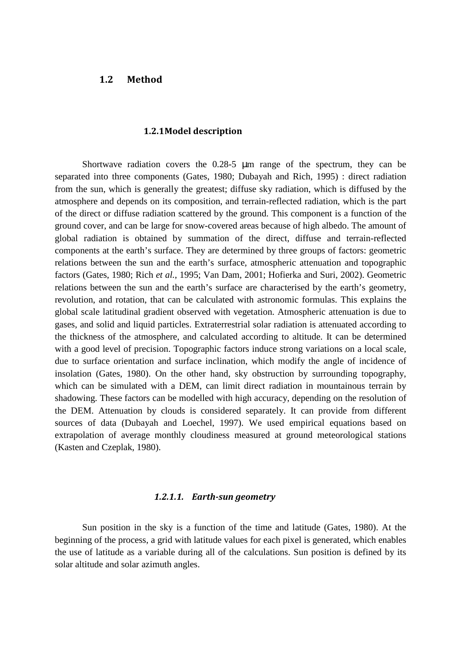#### **-Method**

#### **1.2.1 Model description**

Shortwave radiation covers the 0.28-5 µm range of the spectrum, they can be separated into three components (Gates, 1980; Dubayah and Rich, 1995) : direct radiation from the sun, which is generally the greatest; diffuse sky radiation, which is diffused by the atmosphere and depends on its composition, and terrain-reflected radiation, which is the part of the direct or diffuse radiation scattered by the ground. This component is a function of the ground cover, and can be large for snow-covered areas because of high albedo. The amount of global radiation is obtained by summation of the direct, diffuse and terrain-reflected components at the earth's surface. They are determined by three groups of factors: geometric relations between the sun and the earth's surface, atmospheric attenuation and topographic factors (Gates, 1980; Rich *et al.*, 1995; Van Dam, 2001; Hofierka and Suri, 2002). Geometric relations between the sun and the earth's surface are characterised by the earth's geometry, revolution, and rotation, that can be calculated with astronomic formulas. This explains the global scale latitudinal gradient observed with vegetation. Atmospheric attenuation is due to gases, and solid and liquid particles. Extraterrestrial solar radiation is attenuated according to the thickness of the atmosphere, and calculated according to altitude. It can be determined with a good level of precision. Topographic factors induce strong variations on a local scale, due to surface orientation and surface inclination, which modify the angle of incidence of insolation (Gates, 1980). On the other hand, sky obstruction by surrounding topography, which can be simulated with a DEM, can limit direct radiation in mountainous terrain by shadowing. These factors can be modelled with high accuracy, depending on the resolution of the DEM. Attenuation by clouds is considered separately. It can provide from different sources of data (Dubayah and Loechel, 1997). We used empirical equations based on extrapolation of average monthly cloudiness measured at ground meteorological stations (Kasten and Czeplak, 1980).

#### *1.2.1.1.* Earth-sun geometry

Sun position in the sky is a function of the time and latitude (Gates, 1980). At the beginning of the process, a grid with latitude values for each pixel is generated, which enables the use of latitude as a variable during all of the calculations. Sun position is defined by its solar altitude and solar azimuth angles.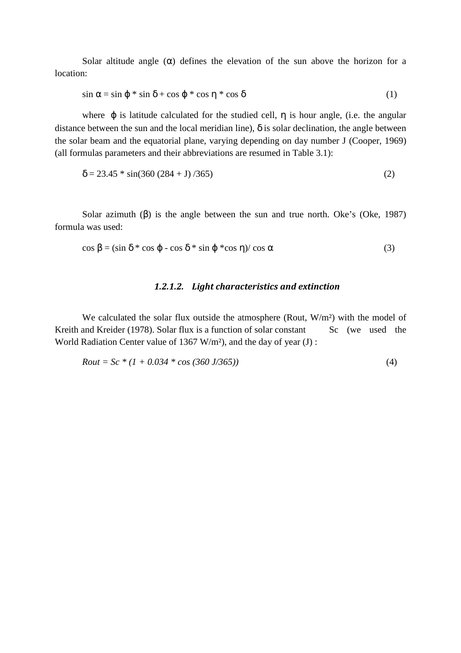Solar altitude angle  $(\alpha)$  defines the elevation of the sun above the horizon for a location:

$$
\sin \alpha = \sin \varphi * \sin \delta + \cos \varphi * \cos \eta * \cos \delta \tag{1}
$$

where  $\varphi$  is latitude calculated for the studied cell,  $\eta$  is hour angle, (i.e. the angular distance between the sun and the local meridian line),  $\delta$  is solar declination, the angle between the solar beam and the equatorial plane, varying depending on day number J (Cooper, 1969) (all formulas parameters and their abbreviations are resumed in Table 3.1):

$$
\delta = 23.45 \times \sin(360 (284 + \text{J}) / 365) \tag{2}
$$

Solar azimuth  $(\beta)$  is the angle between the sun and true north. Oke's (Oke, 1987) formula was used:

$$
\cos \beta = (\sin \delta * \cos \varphi - \cos \delta * \sin \varphi * \cos \eta) / \cos \alpha \tag{3}
$$

#### **1.2.1.2.** Light characteristics and extinction

We calculated the solar flux outside the atmosphere (Rout, W/m<sup>2</sup>) with the model of Kreith and Kreider (1978). Solar flux is a function of solar constant Sc (we used the World Radiation Center value of 1367 W/m²), and the day of year (J) :

$$
Rout = Sc * (1 + 0.034 * cos (360 J/365))
$$
\n(4)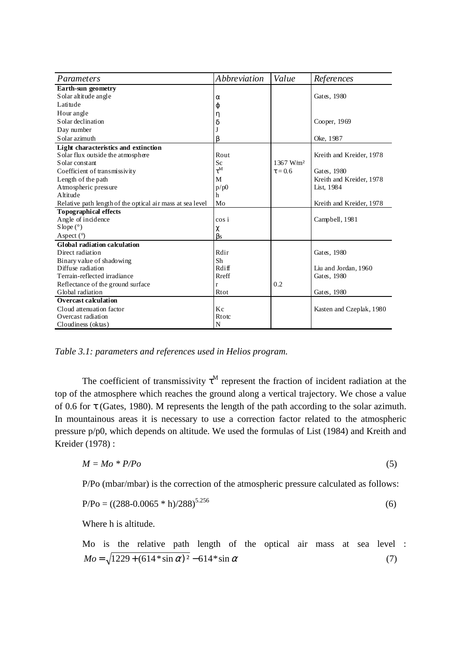| Parameters                                                | <b>Abbreviation</b> | Value                 | References               |
|-----------------------------------------------------------|---------------------|-----------------------|--------------------------|
| Earth-sun geometry                                        |                     |                       |                          |
| Solar altitude angle                                      | $\alpha$            |                       | Gates, 1980              |
| Latitude                                                  | φ                   |                       |                          |
| Hour angle                                                | η                   |                       |                          |
| Solar declination                                         | δ                   |                       | Cooper, 1969             |
| Day number                                                |                     |                       |                          |
| Solar azimuth                                             | ß                   |                       | Oke, 1987                |
| Light characteristics and extinction                      |                     |                       |                          |
| Solar flux outside the atmosphere                         | Rout                |                       | Kreith and Kreider, 1978 |
| Solar constant                                            | <b>Sc</b>           | 1367 W/m <sup>2</sup> |                          |
| Coefficient of transmissivity                             | $\tau^{\rm M}$      | $\tau = 0.6$          | Gates, 1980              |
| Length of the path                                        | M                   |                       | Kreith and Kreider, 1978 |
| Atmospheric pressure                                      | p/p0                |                       | List, 1984               |
| Altitude                                                  | h                   |                       |                          |
| Relative path length of the optical air mass at sea level | Mo                  |                       | Kreith and Kreider, 1978 |
| <b>Topographical effects</b>                              |                     |                       |                          |
| Angle of incidence                                        | $\cos i$            |                       | Campbell, 1981           |
| Slope (°)                                                 | χ                   |                       |                          |
| Aspect $(°)$                                              | βs                  |                       |                          |
| Global radiation calculation                              |                     |                       |                          |
| Direct radiation                                          | Rdir                |                       | Gates, 1980              |
| Binary value of shadowing                                 | Sh                  |                       |                          |
| Diffuse radiation                                         | Rdiff               |                       | Liu and Jordan, 1960     |
| Terrain-reflected irradiance                              | Rreff               |                       | Gates, 1980              |
| Reflectance of the ground surface                         | r                   | 0.2                   |                          |
| Global radiation                                          | Rtot                |                       | Gates, 1980              |
| <b>Overcast calculation</b>                               |                     |                       |                          |
| Cloud attenuation factor                                  | Kc                  |                       | Kasten and Czeplak, 1980 |
| Overcast radiation                                        | Rtote               |                       |                          |
| Cloudiness (oktas)                                        | N                   |                       |                          |

*Table 3.1: parameters and references used in Helios program.* 

The coefficient of transmissivity  $\tau^M$  represent the fraction of incident radiation at the top of the atmosphere which reaches the ground along a vertical trajectory. We chose a value of 0.6 for τ (Gates, 1980). M represents the length of the path according to the solar azimuth. In mountainous areas it is necessary to use a correction factor related to the atmospheric pressure p/p0, which depends on altitude. We used the formulas of List (1984) and Kreith and Kreider (1978) :

$$
M = Mo * P/Po \tag{5}
$$

P/Po (mbar/mbar) is the correction of the atmospheric pressure calculated as follows:

$$
P/Po = ((288-0.0065 * h)/288)^{5.256}
$$
 (6)

Where h is altitude.

Mo is the relative path length of the optical air mass at sea level :  $Mo = \sqrt{1229 + (614 * sin \alpha)^2} - 614 * sin \alpha$  (7)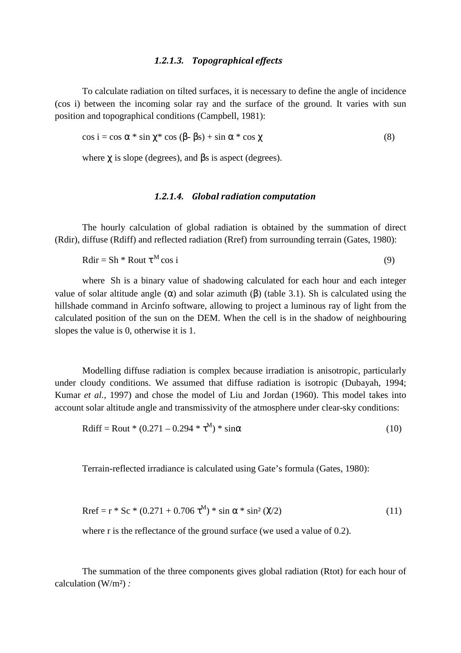#### 1.2.1.3. Topographical effects

To calculate radiation on tilted surfaces, it is necessary to define the angle of incidence (cos i) between the incoming solar ray and the surface of the ground. It varies with sun position and topographical conditions (Campbell, 1981):

$$
\cos i = \cos \alpha * \sin \chi * \cos (\beta - \beta s) + \sin \alpha * \cos \chi \tag{8}
$$

where  $\gamma$  is slope (degrees), and  $\beta$ s is aspect (degrees).

#### 1.2.1.4. Global radiation computation

The hourly calculation of global radiation is obtained by the summation of direct (Rdir), diffuse (Rdiff) and reflected radiation (Rref) from surrounding terrain (Gates, 1980):

$$
Rdir = Sh * Rout \tau^{M} \cos i
$$
 (9)

where Sh is a binary value of shadowing calculated for each hour and each integer value of solar altitude angle (α) and solar azimuth (β) (table 3.1). Sh is calculated using the hillshade command in Arcinfo software, allowing to project a luminous ray of light from the calculated position of the sun on the DEM. When the cell is in the shadow of neighbouring slopes the value is 0, otherwise it is 1.

Modelling diffuse radiation is complex because irradiation is anisotropic, particularly under cloudy conditions. We assumed that diffuse radiation is isotropic (Dubayah, 1994; Kumar *et al.*, 1997) and chose the model of Liu and Jordan (1960). This model takes into account solar altitude angle and transmissivity of the atmosphere under clear-sky conditions:

$$
Rdiff = Rout * (0.271 - 0.294 * \tau^{M}) * sin\alpha
$$
 (10)

Terrain-reflected irradiance is calculated using Gate's formula (Gates, 1980):

$$
Rref = r * Sc * (0.271 + 0.706 \tau^{M}) * sin \alpha * sin^{2} (X/2)
$$
\n(11)

where r is the reflectance of the ground surface (we used a value of 0.2).

The summation of the three components gives global radiation (Rtot) for each hour of calculation (W/m²) *:*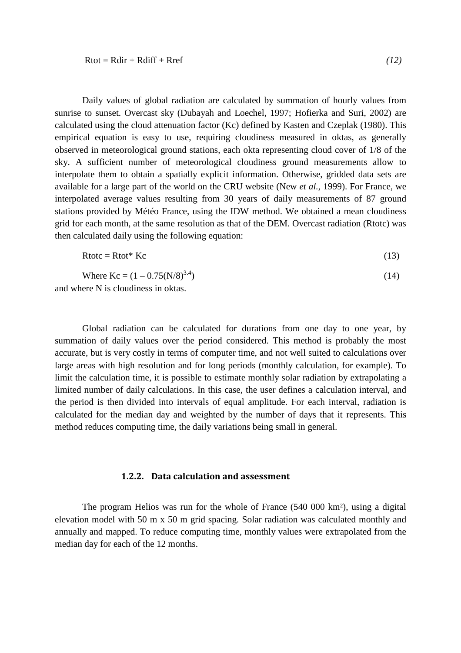Daily values of global radiation are calculated by summation of hourly values from sunrise to sunset. Overcast sky (Dubayah and Loechel, 1997; Hofierka and Suri, 2002) are calculated using the cloud attenuation factor (Kc) defined by Kasten and Czeplak (1980). This empirical equation is easy to use, requiring cloudiness measured in oktas, as generally observed in meteorological ground stations, each okta representing cloud cover of 1/8 of the sky. A sufficient number of meteorological cloudiness ground measurements allow to interpolate them to obtain a spatially explicit information. Otherwise, gridded data sets are available for a large part of the world on the CRU website (New *et al.*, 1999). For France, we interpolated average values resulting from 30 years of daily measurements of 87 ground stations provided by Météo France, using the IDW method. We obtained a mean cloudiness grid for each month, at the same resolution as that of the DEM. Overcast radiation (Rtotc) was then calculated daily using the following equation:

$$
R \text{totc} = R \text{tot}^* \text{Kc} \tag{13}
$$

Where Kc =  $(1 - 0.75(N/8)^{3.4})$  (14) and where N is cloudiness in oktas.

Global radiation can be calculated for durations from one day to one year, by summation of daily values over the period considered. This method is probably the most accurate, but is very costly in terms of computer time, and not well suited to calculations over large areas with high resolution and for long periods (monthly calculation, for example). To limit the calculation time, it is possible to estimate monthly solar radiation by extrapolating a limited number of daily calculations. In this case, the user defines a calculation interval, and the period is then divided into intervals of equal amplitude. For each interval, radiation is calculated for the median day and weighted by the number of days that it represents. This method reduces computing time, the daily variations being small in general.

#### 1.2.2. Data calculation and assessment

The program Helios was run for the whole of France (540 000 km²), using a digital elevation model with 50 m x 50 m grid spacing. Solar radiation was calculated monthly and annually and mapped. To reduce computing time, monthly values were extrapolated from the median day for each of the 12 months.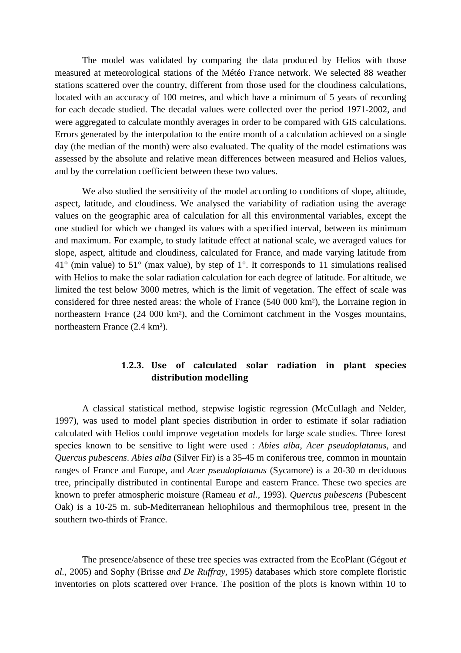The model was validated by comparing the data produced by Helios with those measured at meteorological stations of the Météo France network. We selected 88 weather stations scattered over the country, different from those used for the cloudiness calculations, located with an accuracy of 100 metres, and which have a minimum of 5 years of recording for each decade studied. The decadal values were collected over the period 1971-2002, and were aggregated to calculate monthly averages in order to be compared with GIS calculations. Errors generated by the interpolation to the entire month of a calculation achieved on a single day (the median of the month) were also evaluated. The quality of the model estimations was assessed by the absolute and relative mean differences between measured and Helios values, and by the correlation coefficient between these two values.

We also studied the sensitivity of the model according to conditions of slope, altitude, aspect, latitude, and cloudiness. We analysed the variability of radiation using the average values on the geographic area of calculation for all this environmental variables, except the one studied for which we changed its values with a specified interval, between its minimum and maximum. For example, to study latitude effect at national scale, we averaged values for slope, aspect, altitude and cloudiness, calculated for France, and made varying latitude from 41° (min value) to 51° (max value), by step of 1°. It corresponds to 11 simulations realised with Helios to make the solar radiation calculation for each degree of latitude. For altitude, we limited the test below 3000 metres, which is the limit of vegetation. The effect of scale was considered for three nested areas: the whole of France (540 000 km²), the Lorraine region in northeastern France (24 000 km<sup>2</sup>), and the Cornimont catchment in the Vosges mountains, northeastern France (2.4 km²).

## 1.2.3. Use of calculated solar radiation in plant species distribution modelling

A classical statistical method, stepwise logistic regression (McCullagh and Nelder, 1997), was used to model plant species distribution in order to estimate if solar radiation calculated with Helios could improve vegetation models for large scale studies. Three forest species known to be sensitive to light were used : *Abies alba*, *Acer pseudoplatanus*, and *Quercus pubescens*. *Abies alba* (Silver Fir) is a 35-45 m coniferous tree, common in mountain ranges of France and Europe, and *Acer pseudoplatanus* (Sycamore) is a 20-30 m deciduous tree, principally distributed in continental Europe and eastern France. These two species are known to prefer atmospheric moisture (Rameau *et al.*, 1993). *Quercus pubescens* (Pubescent Oak) is a 10-25 m. sub-Mediterranean heliophilous and thermophilous tree, present in the southern two-thirds of France.

The presence/absence of these tree species was extracted from the EcoPlant (Gégout *et al.*, 2005) and Sophy (Brisse *and De Ruffray*, 1995) databases which store complete floristic inventories on plots scattered over France. The position of the plots is known within 10 to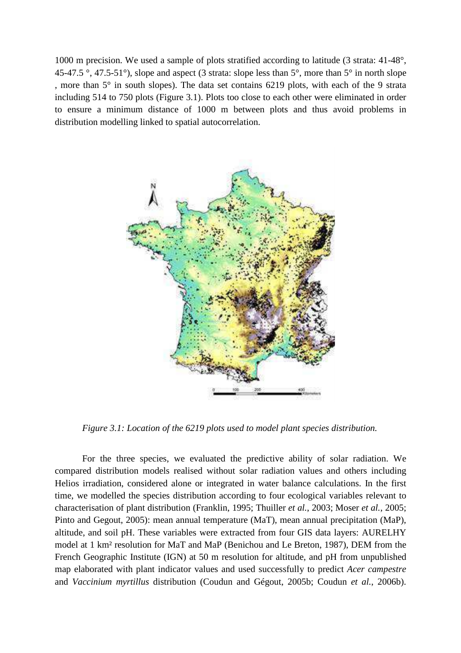1000 m precision. We used a sample of plots stratified according to latitude (3 strata: 41-48°, 45-47.5 °, 47.5-51°), slope and aspect (3 strata: slope less than 5°, more than 5° in north slope , more than 5° in south slopes). The data set contains 6219 plots, with each of the 9 strata including 514 to 750 plots (Figure 3.1). Plots too close to each other were eliminated in order to ensure a minimum distance of 1000 m between plots and thus avoid problems in distribution modelling linked to spatial autocorrelation.



*Figure 3.1: Location of the 6219 plots used to model plant species distribution.* 

For the three species, we evaluated the predictive ability of solar radiation. We compared distribution models realised without solar radiation values and others including Helios irradiation, considered alone or integrated in water balance calculations. In the first time, we modelled the species distribution according to four ecological variables relevant to characterisation of plant distribution (Franklin, 1995; Thuiller *et al.*, 2003; Moser *et al.*, 2005; Pinto and Gegout, 2005): mean annual temperature (MaT), mean annual precipitation (MaP), altitude, and soil pH. These variables were extracted from four GIS data layers: AURELHY model at 1 km² resolution for MaT and MaP (Benichou and Le Breton, 1987), DEM from the French Geographic Institute (IGN) at 50 m resolution for altitude, and pH from unpublished map elaborated with plant indicator values and used successfully to predict *Acer campestre* and *Vaccinium myrtillus* distribution (Coudun and Gégout, 2005b; Coudun *et al.*, 2006b).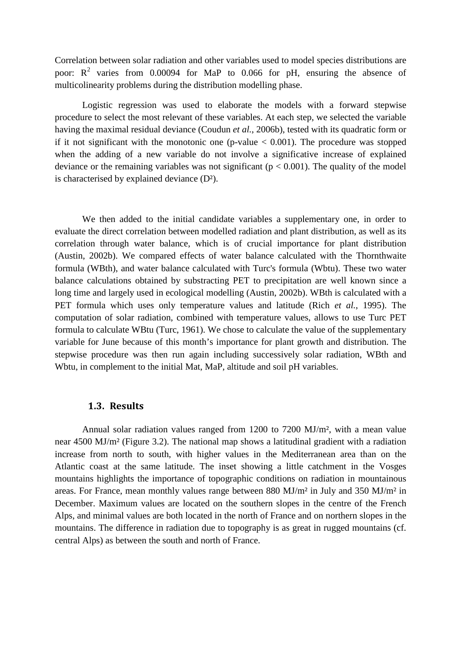Correlation between solar radiation and other variables used to model species distributions are poor:  $R^2$  varies from 0.00094 for MaP to 0.066 for pH, ensuring the absence of multicolinearity problems during the distribution modelling phase.

Logistic regression was used to elaborate the models with a forward stepwise procedure to select the most relevant of these variables. At each step, we selected the variable having the maximal residual deviance (Coudun *et al.*, 2006b), tested with its quadratic form or if it not significant with the monotonic one (p-value  $< 0.001$ ). The procedure was stopped when the adding of a new variable do not involve a significative increase of explained deviance or the remaining variables was not significant ( $p < 0.001$ ). The quality of the model is characterised by explained deviance (D²).

We then added to the initial candidate variables a supplementary one, in order to evaluate the direct correlation between modelled radiation and plant distribution, as well as its correlation through water balance, which is of crucial importance for plant distribution (Austin, 2002b). We compared effects of water balance calculated with the Thornthwaite formula (WBth), and water balance calculated with Turc's formula (Wbtu). These two water balance calculations obtained by substracting PET to precipitation are well known since a long time and largely used in ecological modelling (Austin, 2002b). WBth is calculated with a PET formula which uses only temperature values and latitude (Rich *et al.*, 1995). The computation of solar radiation, combined with temperature values, allows to use Turc PET formula to calculate WBtu (Turc, 1961). We chose to calculate the value of the supplementary variable for June because of this month's importance for plant growth and distribution. The stepwise procedure was then run again including successively solar radiation, WBth and Wbtu, in complement to the initial Mat, MaP, altitude and soil pH variables.

### **1.3. Results**

Annual solar radiation values ranged from 1200 to 7200 MJ/m², with a mean value near 4500 MJ/m² (Figure 3.2). The national map shows a latitudinal gradient with a radiation increase from north to south, with higher values in the Mediterranean area than on the Atlantic coast at the same latitude. The inset showing a little catchment in the Vosges mountains highlights the importance of topographic conditions on radiation in mountainous areas. For France, mean monthly values range between 880 MJ/m² in July and 350 MJ/m² in December. Maximum values are located on the southern slopes in the centre of the French Alps, and minimal values are both located in the north of France and on northern slopes in the mountains. The difference in radiation due to topography is as great in rugged mountains (cf. central Alps) as between the south and north of France.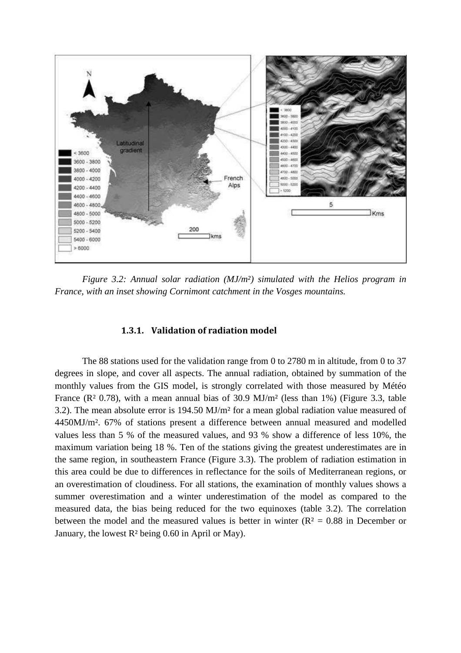

*Figure 3.2: Annual solar radiation (MJ/m²) simulated with the Helios program in France, with an inset showing Cornimont catchment in the Vosges mountains.* 

#### 1.3.1. Validation of radiation model

The 88 stations used for the validation range from 0 to 2780 m in altitude, from 0 to 37 degrees in slope, and cover all aspects. The annual radiation, obtained by summation of the monthly values from the GIS model, is strongly correlated with those measured by Météo France ( $\mathbb{R}^2$  0.78), with a mean annual bias of 30.9 MJ/m<sup>2</sup> (less than 1%) (Figure 3.3, table 3.2). The mean absolute error is 194.50 MJ/m² for a mean global radiation value measured of 4450MJ/m². 67% of stations present a difference between annual measured and modelled values less than 5 % of the measured values, and 93 % show a difference of less 10%, the maximum variation being 18 %. Ten of the stations giving the greatest underestimates are in the same region, in southeastern France (Figure 3.3). The problem of radiation estimation in this area could be due to differences in reflectance for the soils of Mediterranean regions, or an overestimation of cloudiness. For all stations, the examination of monthly values shows a summer overestimation and a winter underestimation of the model as compared to the measured data, the bias being reduced for the two equinoxes (table 3.2). The correlation between the model and the measured values is better in winter  $(R<sup>2</sup> = 0.88$  in December or January, the lowest  $R^2$  being 0.60 in April or May).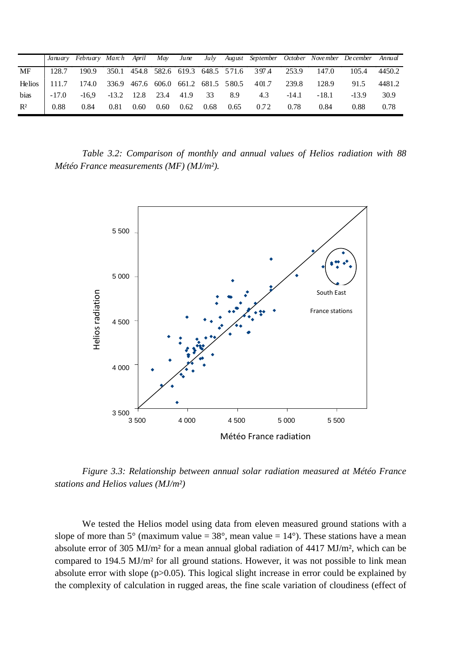|        | January |         |         |      |                |                  |      |      | February March April May June July August September October November December Annual |         |         |       |        |
|--------|---------|---------|---------|------|----------------|------------------|------|------|--------------------------------------------------------------------------------------|---------|---------|-------|--------|
| MF     | 128.7   | 190.9   |         |      |                |                  |      |      | 350.1 454.8 582.6 619.3 648.5 571.6 397.4 253.9                                      |         | 147.0   | 105.4 | 4450.2 |
| Helios | 111.7   |         |         |      |                |                  |      |      | 174.0 336.9 467.6 606.0 661.2 681.5 580.5 401.7                                      | 239.8   | 128.9   | 91.5  | 4481.2 |
| bias   | $-17.0$ | $-16.9$ | $-13.2$ |      | 12.8 23.4 41.9 |                  | 33   | 8.9  | 4.3                                                                                  | $-14.1$ | $-18.1$ | -13.9 | 30.9   |
| $R^2$  | 0.88    | 0.84    | 0.81    | 0.60 |                | $0.60\quad 0.62$ | 0.68 | 0.65 | 0.72                                                                                 | 0.78    | 0.84    | 0.88  | 0.78   |

*Table 3.2: Comparison of monthly and annual values of Helios radiation with 88 Météo France measurements (MF) (MJ/m²).* 



*Figure 3.3: Relationship between annual solar radiation measured at Météo France stations and Helios values (MJ/m²)* 

We tested the Helios model using data from eleven measured ground stations with a slope of more than  $5^{\circ}$  (maximum value = 38°, mean value = 14°). These stations have a mean absolute error of 305 MJ/m² for a mean annual global radiation of 4417 MJ/m², which can be compared to 194.5 MJ/m² for all ground stations. However, it was not possible to link mean absolute error with slope (p>0.05). This logical slight increase in error could be explained by the complexity of calculation in rugged areas, the fine scale variation of cloudiness (effect of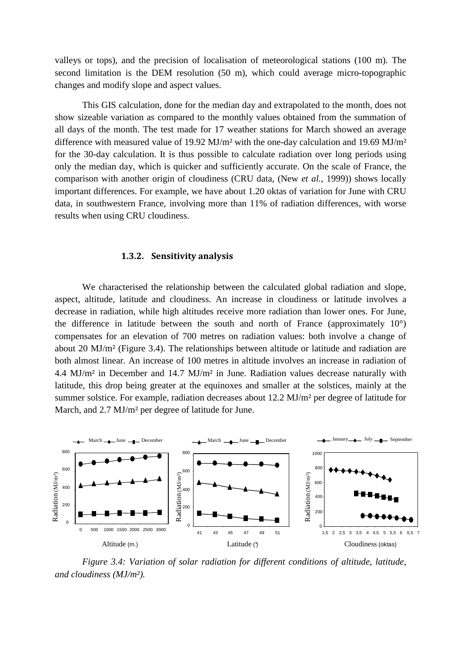valleys or tops), and the precision of localisation of meteorological stations (100 m). The second limitation is the DEM resolution (50 m), which could average micro-topographic changes and modify slope and aspect values.

This GIS calculation, done for the median day and extrapolated to the month, does not show sizeable variation as compared to the monthly values obtained from the summation of all days of the month. The test made for 17 weather stations for March showed an average difference with measured value of 19.92 MJ/m<sup>2</sup> with the one-day calculation and 19.69 MJ/m<sup>2</sup> for the 30-day calculation. It is thus possible to calculate radiation over long periods using only the median day, which is quicker and sufficiently accurate. On the scale of France, the comparison with another origin of cloudiness (CRU data, (New *et al.*, 1999)) shows locally important differences. For example, we have about 1.20 oktas of variation for June with CRU data, in southwestern France, involving more than 11% of radiation differences, with worse results when using CRU cloudiness.

#### **1.3.2.** Sensitivity analysis

We characterised the relationship between the calculated global radiation and slope, aspect, altitude, latitude and cloudiness. An increase in cloudiness or latitude involves a decrease in radiation, while high altitudes receive more radiation than lower ones. For June, the difference in latitude between the south and north of France (approximately 10°) compensates for an elevation of 700 metres on radiation values: both involve a change of about 20 MJ/m² (Figure 3.4). The relationships between altitude or latitude and radiation are both almost linear. An increase of 100 metres in altitude involves an increase in radiation of 4.4 MJ/m² in December and 14.7 MJ/m² in June. Radiation values decrease naturally with latitude, this drop being greater at the equinoxes and smaller at the solstices, mainly at the summer solstice. For example, radiation decreases about 12.2 MJ/m<sup>2</sup> per degree of latitude for March, and 2.7 MJ/m² per degree of latitude for June.



*Figure 3.4: Variation of solar radiation for different conditions of altitude, latitude, and cloudiness (MJ/m²).*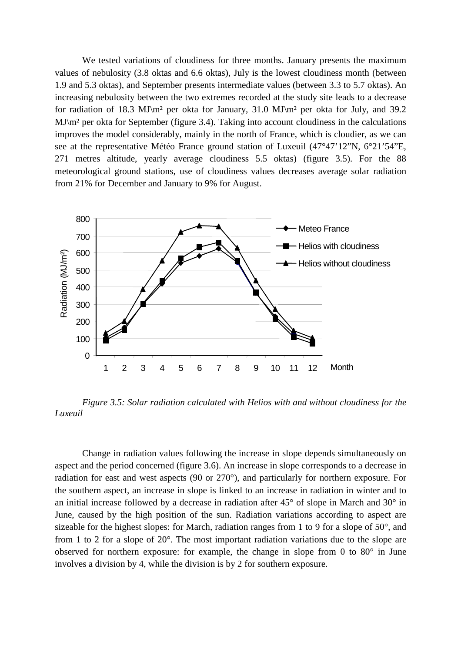We tested variations of cloudiness for three months. January presents the maximum values of nebulosity (3.8 oktas and 6.6 oktas), July is the lowest cloudiness month (between 1.9 and 5.3 oktas), and September presents intermediate values (between 3.3 to 5.7 oktas). An increasing nebulosity between the two extremes recorded at the study site leads to a decrease for radiation of 18.3 MJ $\mu$ <sup>2</sup> per okta for January, 31.0 MJ $\mu$ <sup>2</sup> per okta for July, and 39.2 MJ\m² per okta for September (figure 3.4). Taking into account cloudiness in the calculations improves the model considerably, mainly in the north of France, which is cloudier, as we can see at the representative Météo France ground station of Luxeuil (47°47'12"N, 6°21'54"E, 271 metres altitude, yearly average cloudiness 5.5 oktas) (figure 3.5). For the 88 meteorological ground stations, use of cloudiness values decreases average solar radiation from 21% for December and January to 9% for August.



*Figure 3.5: Solar radiation calculated with Helios with and without cloudiness for the Luxeuil* 

Change in radiation values following the increase in slope depends simultaneously on aspect and the period concerned (figure 3.6). An increase in slope corresponds to a decrease in radiation for east and west aspects (90 or 270°), and particularly for northern exposure. For the southern aspect, an increase in slope is linked to an increase in radiation in winter and to an initial increase followed by a decrease in radiation after 45° of slope in March and 30° in June, caused by the high position of the sun. Radiation variations according to aspect are sizeable for the highest slopes: for March, radiation ranges from 1 to 9 for a slope of 50°, and from 1 to 2 for a slope of 20°. The most important radiation variations due to the slope are observed for northern exposure: for example, the change in slope from 0 to 80° in June involves a division by 4, while the division is by 2 for southern exposure.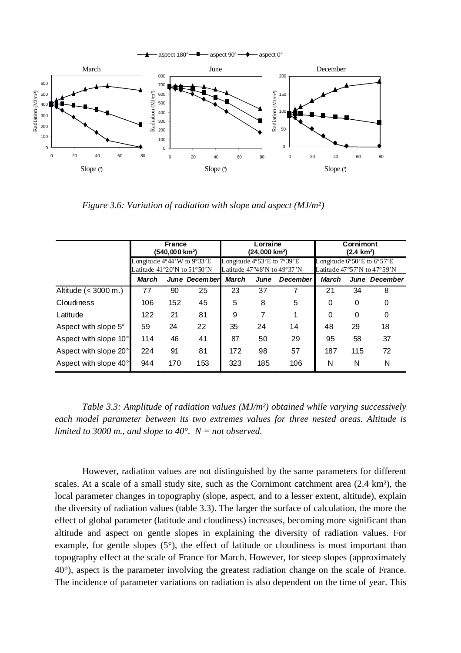

*Figure 3.6: Variation of radiation with slope and aspect (MJ/m²)* 

|                       | <b>France</b><br>(540,000 km <sup>2</sup> )                                                                     |     |               | Lorraine<br>(24,000 km <sup>2</sup> )                                                           |      |                 | Cornimont<br>(2.4 km <sup>2</sup> )                                           |          |                      |  |
|-----------------------|-----------------------------------------------------------------------------------------------------------------|-----|---------------|-------------------------------------------------------------------------------------------------|------|-----------------|-------------------------------------------------------------------------------|----------|----------------------|--|
|                       | Longitude $4^{\circ}44'W$ to $9^{\circ}33'E$<br>Latitude $41^{\circ}20^{\prime}$ N to $51^{\circ}50^{\prime}$ N |     |               | Longitude $4^{\circ}53$ 'E to $7^{\circ}39$ 'E<br>Latitude $47^{\circ}48'N$ to $49^{\circ}37'N$ |      |                 | Longitude $6^{\circ}50$ 'E to $6^{\circ}57$ 'E<br>Latitude 47°57'N to 47°59'N |          |                      |  |
|                       | March                                                                                                           |     | June December | March                                                                                           | June | <b>December</b> | March                                                                         |          | <b>June December</b> |  |
| Altitude (< 3000 m.)  | 77                                                                                                              | 90  | 25            | 23                                                                                              | 37   |                 | 21                                                                            | 34       | 8                    |  |
| Cloudiness            | 106                                                                                                             | 152 | 45            | 5                                                                                               | 8    | 5               | 0                                                                             | $\Omega$ | $\Omega$             |  |
| Latitude              | 122                                                                                                             | 21  | 81            | 9                                                                                               | 7    |                 | 0                                                                             | $\Omega$ | 0                    |  |
| Aspect with slope 5°  | 59                                                                                                              | 24  | 22            | 35                                                                                              | 24   | 14              | 48                                                                            | 29       | 18                   |  |
| Aspect with slope 10° | 114                                                                                                             | 46  | 41            | 87                                                                                              | 50   | 29              | 95                                                                            | 58       | 37                   |  |
| Aspect with slope 20° | 224                                                                                                             | 91  | 81            | 172                                                                                             | 98   | 57              | 187                                                                           | 115      | 72                   |  |
| Aspect with slope 40° | 944                                                                                                             | 170 | 153           | 323                                                                                             | 185  | 106             | N                                                                             | N        | N                    |  |

*Table 3.3: Amplitude of radiation values (MJ/m²) obtained while varying successively each model parameter between its two extremes values for three nested areas. Altitude is limited to 3000 m., and slope to 40°.*  $N = not observed$ .

However, radiation values are not distinguished by the same parameters for different scales. At a scale of a small study site, such as the Cornimont catchment area (2.4 km²), the local parameter changes in topography (slope, aspect, and to a lesser extent, altitude), explain the diversity of radiation values (table 3.3). The larger the surface of calculation, the more the effect of global parameter (latitude and cloudiness) increases, becoming more significant than altitude and aspect on gentle slopes in explaining the diversity of radiation values. For example, for gentle slopes (5°), the effect of latitude or cloudiness is most important than topography effect at the scale of France for March. However, for steep slopes (approximately 40°), aspect is the parameter involving the greatest radiation change on the scale of France. The incidence of parameter variations on radiation is also dependent on the time of year. This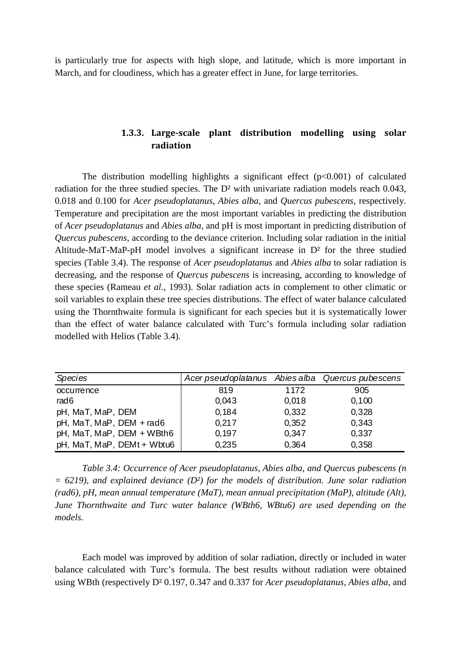is particularly true for aspects with high slope, and latitude, which is more important in March, and for cloudiness, which has a greater effect in June, for large territories.

# 1.3.3. Large-scale plant distribution modelling using solar radiation

The distribution modelling highlights a significant effect  $(p<0.001)$  of calculated radiation for the three studied species. The D² with univariate radiation models reach 0.043, 0.018 and 0.100 for *Acer pseudoplatanus*, *Abies alba*, and *Quercus pubescens*, respectively. Temperature and precipitation are the most important variables in predicting the distribution of *Acer pseudoplatanus* and *Abies alba*, and pH is most important in predicting distribution of *Quercus pubescens*, according to the deviance criterion. Including solar radiation in the initial Altitude-MaT-MaP-pH model involves a significant increase in D² for the three studied species (Table 3.4). The response of *Acer pseudoplatanus* and *Abies alba* to solar radiation is decreasing, and the response of *Quercus pubescens* is increasing, according to knowledge of these species (Rameau *et al.*, 1993). Solar radiation acts in complement to other climatic or soil variables to explain these tree species distributions. The effect of water balance calculated using the Thornthwaite formula is significant for each species but it is systematically lower than the effect of water balance calculated with Turc's formula including solar radiation modelled with Helios (Table 3.4).

| Species                    | Acer pseudoplatanus Abies alba Quercus pubescens |       |       |
|----------------------------|--------------------------------------------------|-------|-------|
| occurrence                 | 819                                              | 1172  | 905   |
| rad <sub>6</sub>           | 0.043                                            | 0,018 | 0,100 |
| pH, MaT, MaP, DEM          | 0.184                                            | 0,332 | 0,328 |
| pH, MaT, MaP, DEM + rad6   | 0,217                                            | 0,352 | 0,343 |
| pH, MaT, MaP, DEM + WBth6  | 0,197                                            | 0,347 | 0,337 |
| pH, MaT, MaP, DEMt + Wbtu6 | 0,235                                            | 0,364 | 0,358 |

*Table 3.4: Occurrence of Acer pseudoplatanus, Abies alba, and Quercus pubescens (n = 6219), and explained deviance (D²) for the models of distribution. June solar radiation (rad6), pH, mean annual temperature (MaT), mean annual precipitation (MaP), altitude (Alt), June Thornthwaite and Turc water balance (WBth6, WBtu6) are used depending on the models.* 

Each model was improved by addition of solar radiation, directly or included in water balance calculated with Turc's formula. The best results without radiation were obtained using WBth (respectively D² 0.197, 0.347 and 0.337 for *Acer pseudoplatanus*, *Abies alba*, and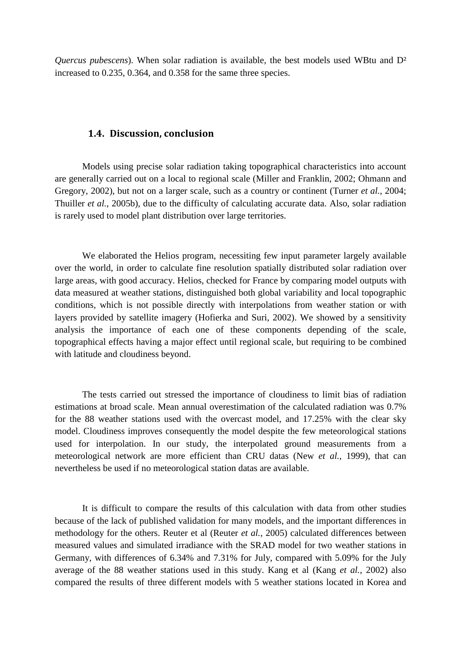*Quercus pubescens*). When solar radiation is available, the best models used WBtu and D² increased to 0.235, 0.364, and 0.358 for the same three species.

### **1.4. Discussion, conclusion**

Models using precise solar radiation taking topographical characteristics into account are generally carried out on a local to regional scale (Miller and Franklin, 2002; Ohmann and Gregory, 2002), but not on a larger scale, such as a country or continent (Turner *et al.*, 2004; Thuiller *et al.*, 2005b), due to the difficulty of calculating accurate data. Also, solar radiation is rarely used to model plant distribution over large territories.

We elaborated the Helios program, necessiting few input parameter largely available over the world, in order to calculate fine resolution spatially distributed solar radiation over large areas, with good accuracy. Helios, checked for France by comparing model outputs with data measured at weather stations, distinguished both global variability and local topographic conditions, which is not possible directly with interpolations from weather station or with layers provided by satellite imagery (Hofierka and Suri, 2002). We showed by a sensitivity analysis the importance of each one of these components depending of the scale, topographical effects having a major effect until regional scale, but requiring to be combined with latitude and cloudiness beyond.

The tests carried out stressed the importance of cloudiness to limit bias of radiation estimations at broad scale. Mean annual overestimation of the calculated radiation was 0.7% for the 88 weather stations used with the overcast model, and 17.25% with the clear sky model. Cloudiness improves consequently the model despite the few meteorological stations used for interpolation. In our study, the interpolated ground measurements from a meteorological network are more efficient than CRU datas (New *et al.*, 1999), that can nevertheless be used if no meteorological station datas are available.

It is difficult to compare the results of this calculation with data from other studies because of the lack of published validation for many models, and the important differences in methodology for the others. Reuter et al (Reuter *et al.*, 2005) calculated differences between measured values and simulated irradiance with the SRAD model for two weather stations in Germany, with differences of 6.34% and 7.31% for July, compared with 5.09% for the July average of the 88 weather stations used in this study. Kang et al (Kang *et al.*, 2002) also compared the results of three different models with 5 weather stations located in Korea and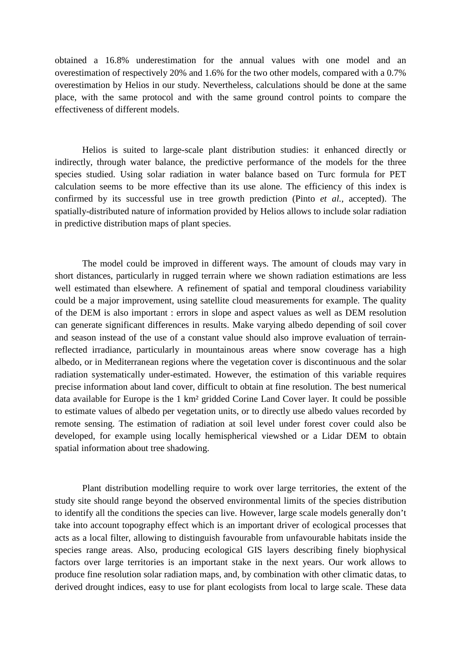obtained a 16.8% underestimation for the annual values with one model and an overestimation of respectively 20% and 1.6% for the two other models, compared with a 0.7% overestimation by Helios in our study. Nevertheless, calculations should be done at the same place, with the same protocol and with the same ground control points to compare the effectiveness of different models.

Helios is suited to large-scale plant distribution studies: it enhanced directly or indirectly, through water balance, the predictive performance of the models for the three species studied. Using solar radiation in water balance based on Turc formula for PET calculation seems to be more effective than its use alone. The efficiency of this index is confirmed by its successful use in tree growth prediction (Pinto *et al.*, accepted). The spatially-distributed nature of information provided by Helios allows to include solar radiation in predictive distribution maps of plant species.

The model could be improved in different ways. The amount of clouds may vary in short distances, particularly in rugged terrain where we shown radiation estimations are less well estimated than elsewhere. A refinement of spatial and temporal cloudiness variability could be a major improvement, using satellite cloud measurements for example. The quality of the DEM is also important : errors in slope and aspect values as well as DEM resolution can generate significant differences in results. Make varying albedo depending of soil cover and season instead of the use of a constant value should also improve evaluation of terrainreflected irradiance, particularly in mountainous areas where snow coverage has a high albedo, or in Mediterranean regions where the vegetation cover is discontinuous and the solar radiation systematically under-estimated. However, the estimation of this variable requires precise information about land cover, difficult to obtain at fine resolution. The best numerical data available for Europe is the 1 km² gridded Corine Land Cover layer. It could be possible to estimate values of albedo per vegetation units, or to directly use albedo values recorded by remote sensing. The estimation of radiation at soil level under forest cover could also be developed, for example using locally hemispherical viewshed or a Lidar DEM to obtain spatial information about tree shadowing.

Plant distribution modelling require to work over large territories, the extent of the study site should range beyond the observed environmental limits of the species distribution to identify all the conditions the species can live. However, large scale models generally don't take into account topography effect which is an important driver of ecological processes that acts as a local filter, allowing to distinguish favourable from unfavourable habitats inside the species range areas. Also, producing ecological GIS layers describing finely biophysical factors over large territories is an important stake in the next years. Our work allows to produce fine resolution solar radiation maps, and, by combination with other climatic datas, to derived drought indices, easy to use for plant ecologists from local to large scale. These data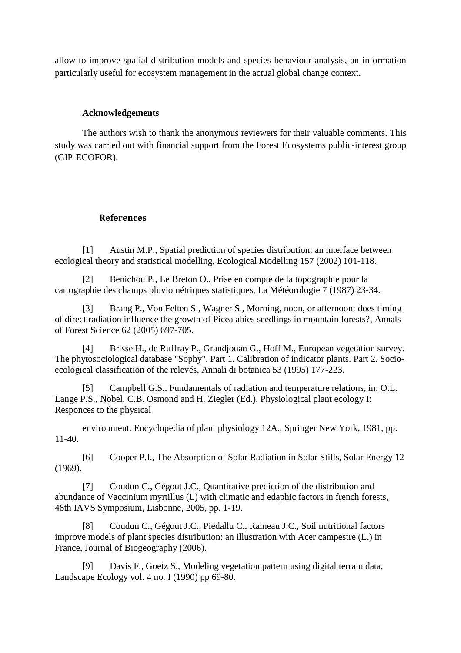allow to improve spatial distribution models and species behaviour analysis, an information particularly useful for ecosystem management in the actual global change context.

## **Acknowledgements**

The authors wish to thank the anonymous reviewers for their valuable comments. This study was carried out with financial support from the Forest Ecosystems public-interest group (GIP-ECOFOR).

### **References**

[1] Austin M.P., Spatial prediction of species distribution: an interface between ecological theory and statistical modelling, Ecological Modelling 157 (2002) 101-118.

[2] Benichou P., Le Breton O., Prise en compte de la topographie pour la cartographie des champs pluviométriques statistiques, La Météorologie 7 (1987) 23-34.

[3] Brang P., Von Felten S., Wagner S., Morning, noon, or afternoon: does timing of direct radiation influence the growth of Picea abies seedlings in mountain forests?, Annals of Forest Science 62 (2005) 697-705.

[4] Brisse H., de Ruffray P., Grandjouan G., Hoff M., European vegetation survey. The phytosociological database "Sophy". Part 1. Calibration of indicator plants. Part 2. Socioecological classification of the relevés, Annali di botanica 53 (1995) 177-223.

[5] Campbell G.S., Fundamentals of radiation and temperature relations, in: O.L. Lange P.S., Nobel, C.B. Osmond and H. Ziegler (Ed.), Physiological plant ecology I: Responces to the physical

environment. Encyclopedia of plant physiology 12A., Springer New York, 1981, pp. 11-40.

[6] Cooper P.I., The Absorption of Solar Radiation in Solar Stills, Solar Energy 12 (1969).

[7] Coudun C., Gégout J.C., Quantitative prediction of the distribution and abundance of Vaccinium myrtillus (L) with climatic and edaphic factors in french forests, 48th IAVS Symposium, Lisbonne, 2005, pp. 1-19.

[8] Coudun C., Gégout J.C., Piedallu C., Rameau J.C., Soil nutritional factors improve models of plant species distribution: an illustration with Acer campestre (L.) in France, Journal of Biogeography (2006).

[9] Davis F., Goetz S., Modeling vegetation pattern using digital terrain data, Landscape Ecology vol. 4 no. I (1990) pp 69-80.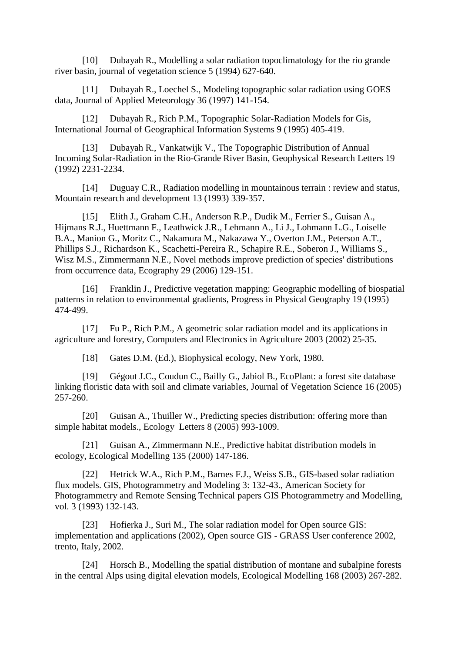[10] Dubayah R., Modelling a solar radiation topoclimatology for the rio grande river basin, journal of vegetation science 5 (1994) 627-640.

[11] Dubayah R., Loechel S., Modeling topographic solar radiation using GOES data, Journal of Applied Meteorology 36 (1997) 141-154.

[12] Dubayah R., Rich P.M., Topographic Solar-Radiation Models for Gis, International Journal of Geographical Information Systems 9 (1995) 405-419.

[13] Dubayah R., Vankatwijk V., The Topographic Distribution of Annual Incoming Solar-Radiation in the Rio-Grande River Basin, Geophysical Research Letters 19 (1992) 2231-2234.

[14] Duguay C.R., Radiation modelling in mountainous terrain : review and status, Mountain research and development 13 (1993) 339-357.

[15] Elith J., Graham C.H., Anderson R.P., Dudik M., Ferrier S., Guisan A., Hijmans R.J., Huettmann F., Leathwick J.R., Lehmann A., Li J., Lohmann L.G., Loiselle B.A., Manion G., Moritz C., Nakamura M., Nakazawa Y., Overton J.M., Peterson A.T., Phillips S.J., Richardson K., Scachetti-Pereira R., Schapire R.E., Soberon J., Williams S., Wisz M.S., Zimmermann N.E., Novel methods improve prediction of species' distributions from occurrence data, Ecography 29 (2006) 129-151.

[16] Franklin J., Predictive vegetation mapping: Geographic modelling of biospatial patterns in relation to environmental gradients, Progress in Physical Geography 19 (1995) 474-499.

[17] Fu P., Rich P.M., A geometric solar radiation model and its applications in agriculture and forestry, Computers and Electronics in Agriculture 2003 (2002) 25-35.

[18] Gates D.M. (Ed.), Biophysical ecology, New York, 1980.

[19] Gégout J.C., Coudun C., Bailly G., Jabiol B., EcoPlant: a forest site database linking floristic data with soil and climate variables, Journal of Vegetation Science 16 (2005) 257-260.

[20] Guisan A., Thuiller W., Predicting species distribution: offering more than simple habitat models., Ecology Letters 8 (2005) 993-1009.

[21] Guisan A., Zimmermann N.E., Predictive habitat distribution models in ecology, Ecological Modelling 135 (2000) 147-186.

[22] Hetrick W.A., Rich P.M., Barnes F.J., Weiss S.B., GIS-based solar radiation flux models. GIS, Photogrammetry and Modeling 3: 132-43., American Society for Photogrammetry and Remote Sensing Technical papers GIS Photogrammetry and Modelling, vol. 3 (1993) 132-143.

[23] Hofierka J., Suri M., The solar radiation model for Open source GIS: implementation and applications (2002), Open source GIS - GRASS User conference 2002, trento, Italy, 2002.

[24] Horsch B., Modelling the spatial distribution of montane and subalpine forests in the central Alps using digital elevation models, Ecological Modelling 168 (2003) 267-282.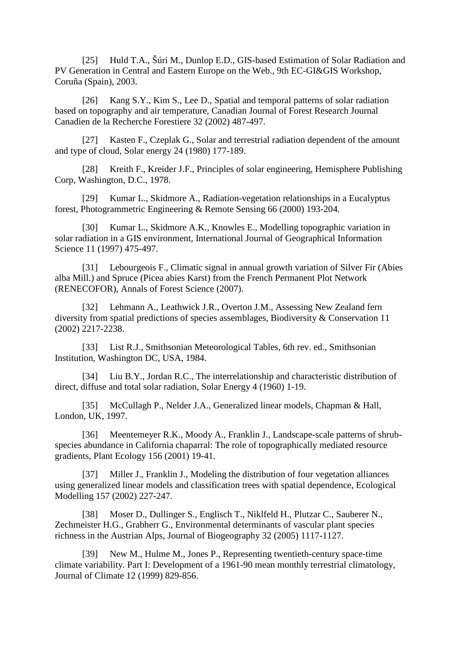[25] Huld T.A., Šúri M., Dunlop E.D., GIS-based Estimation of Solar Radiation and PV Generation in Central and Eastern Europe on the Web., 9th EC-GI&GIS Workshop, Coruña (Spain), 2003.

[26] Kang S.Y., Kim S., Lee D., Spatial and temporal patterns of solar radiation based on topography and air temperature, Canadian Journal of Forest Research Journal Canadien de la Recherche Forestiere 32 (2002) 487-497.

[27] Kasten F., Czeplak G., Solar and terrestrial radiation dependent of the amount and type of cloud, Solar energy 24 (1980) 177-189.

[28] Kreith F., Kreider J.F., Principles of solar engineering, Hemisphere Publishing Corp, Washington, D.C., 1978.

[29] Kumar L., Skidmore A., Radiation-vegetation relationships in a Eucalyptus forest, Photogrammetric Engineering & Remote Sensing 66 (2000) 193-204.

[30] Kumar L., Skidmore A.K., Knowles E., Modelling topographic variation in solar radiation in a GIS environment, International Journal of Geographical Information Science 11 (1997) 475-497.

[31] Lebourgeois F., Climatic signal in annual growth variation of Silver Fir (Abies alba Mill.) and Spruce (Picea abies Karst) from the French Permanent Plot Network (RENECOFOR), Annals of Forest Science (2007).

[32] Lehmann A., Leathwick J.R., Overton J.M., Assessing New Zealand fern diversity from spatial predictions of species assemblages, Biodiversity & Conservation 11 (2002) 2217-2238.

[33] List R.J., Smithsonian Meteorological Tables, 6th rev. ed., Smithsonian Institution, Washington DC, USA, 1984.

[34] Liu B.Y., Jordan R.C., The interrelationship and characteristic distribution of direct, diffuse and total solar radiation, Solar Energy 4 (1960) 1-19.

[35] McCullagh P., Nelder J.A., Generalized linear models, Chapman & Hall, London, UK, 1997.

[36] Meentemeyer R.K., Moody A., Franklin J., Landscape-scale patterns of shrubspecies abundance in California chaparral: The role of topographically mediated resource gradients, Plant Ecology 156 (2001) 19-41.

[37] Miller J., Franklin J., Modeling the distribution of four vegetation alliances using generalized linear models and classification trees with spatial dependence, Ecological Modelling 157 (2002) 227-247.

[38] Moser D., Dullinger S., Englisch T., Niklfeld H., Plutzar C., Sauberer N., Zechmeister H.G., Grabherr G., Environmental determinants of vascular plant species richness in the Austrian Alps, Journal of Biogeography 32 (2005) 1117-1127.

New M., Hulme M., Jones P., Representing twentieth-century space-time climate variability. Part I: Development of a 1961-90 mean monthly terrestrial climatology, Journal of Climate 12 (1999) 829-856.